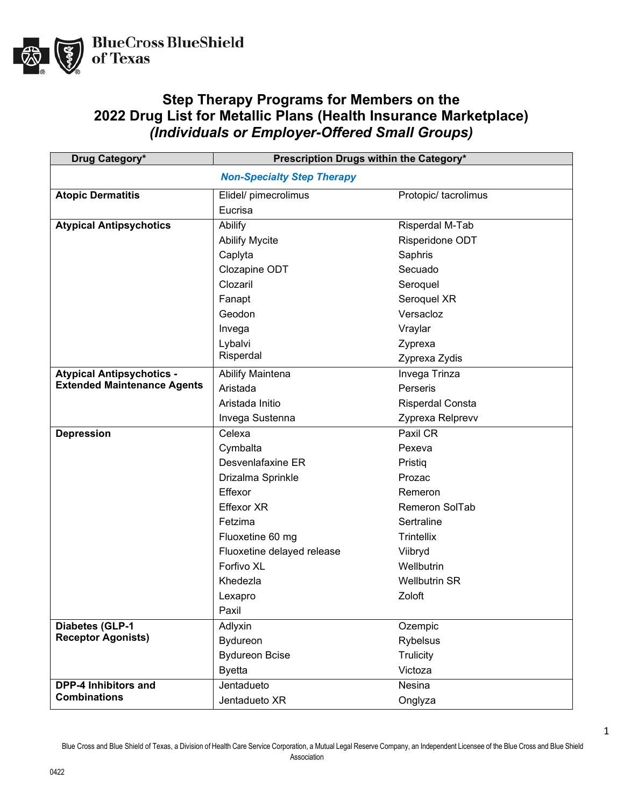

## **Step Therapy Programs for Members on the 2022 Drug List for Metallic Plans (Health Insurance Marketplace)** *(Individuals or Employer-Offered Small Groups)*

| Drug Category*                     | Prescription Drugs within the Category* |                      |  |
|------------------------------------|-----------------------------------------|----------------------|--|
|                                    | <b>Non-Specialty Step Therapy</b>       |                      |  |
| <b>Atopic Dermatitis</b>           | Elidel/ pimecrolimus                    | Protopic/ tacrolimus |  |
|                                    | Eucrisa                                 |                      |  |
| <b>Atypical Antipsychotics</b>     | Abilify                                 | Risperdal M-Tab      |  |
|                                    | <b>Abilify Mycite</b>                   | Risperidone ODT      |  |
|                                    | Caplyta                                 | Saphris              |  |
|                                    | Clozapine ODT                           | Secuado              |  |
|                                    | Clozaril                                | Seroquel             |  |
|                                    | Fanapt                                  | Seroquel XR          |  |
|                                    | Geodon                                  | Versacloz            |  |
|                                    | Invega                                  | Vraylar              |  |
|                                    | Lybalvi                                 | Zyprexa              |  |
|                                    | Risperdal                               | Zyprexa Zydis        |  |
| <b>Atypical Antipsychotics -</b>   | Abilify Maintena                        | Invega Trinza        |  |
| <b>Extended Maintenance Agents</b> | Aristada                                | Perseris             |  |
|                                    | Aristada Initio                         | Risperdal Consta     |  |
|                                    | Invega Sustenna                         | Zyprexa Relprevv     |  |
| <b>Depression</b>                  | Celexa                                  | Paxil CR             |  |
|                                    | Cymbalta                                | Pexeva               |  |
|                                    | Desvenlafaxine ER                       | Pristiq              |  |
|                                    | Drizalma Sprinkle                       | Prozac               |  |
|                                    | Effexor                                 | Remeron              |  |
|                                    | <b>Effexor XR</b>                       | Remeron SolTab       |  |
|                                    | Fetzima                                 | Sertraline           |  |
|                                    | Fluoxetine 60 mg                        | Trintellix           |  |
|                                    | Fluoxetine delayed release              | Viibryd              |  |
|                                    | Forfivo XL                              | Wellbutrin           |  |
|                                    | Khedezla                                | <b>Wellbutrin SR</b> |  |
|                                    | Lexapro                                 | Zoloft               |  |
|                                    | Paxil                                   |                      |  |
| <b>Diabetes (GLP-1</b>             | Adlyxin                                 | Ozempic              |  |
| <b>Receptor Agonists)</b>          | Bydureon                                | <b>Rybelsus</b>      |  |
|                                    | <b>Bydureon Bcise</b>                   | Trulicity            |  |
|                                    | <b>Byetta</b>                           | Victoza              |  |
| DPP-4 Inhibitors and               | Jentadueto                              | Nesina               |  |
| <b>Combinations</b>                | Jentadueto XR                           | Onglyza              |  |

Blue Cross and Blue Shield of Texas, a Division of Health Care Service Corporation, a Mutual Legal Reserve Company, an Independent Licensee of the Blue Cross and Blue Shield Association

1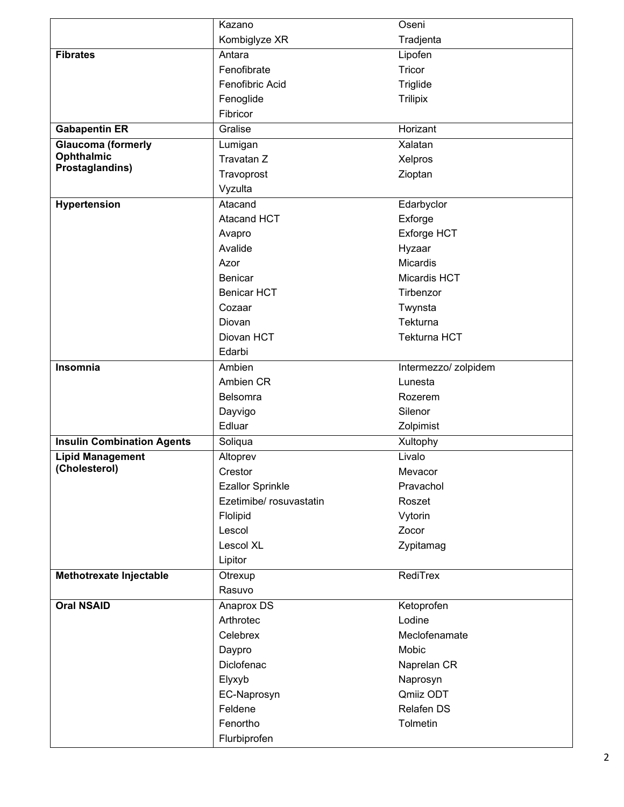|                                   | Kazano                  | Oseni                |
|-----------------------------------|-------------------------|----------------------|
|                                   | Kombiglyze XR           | Tradjenta            |
| <b>Fibrates</b>                   | Antara                  | Lipofen              |
|                                   | Fenofibrate             | Tricor               |
|                                   | Fenofibric Acid         | Triglide             |
|                                   | Fenoglide               | <b>Trilipix</b>      |
|                                   | Fibricor                |                      |
| <b>Gabapentin ER</b>              | Gralise                 | Horizant             |
| <b>Glaucoma (formerly</b>         | Lumigan                 | Xalatan              |
| Ophthalmic                        | Travatan Z              | Xelpros              |
| Prostaglandins)                   | Travoprost              | Zioptan              |
|                                   | Vyzulta                 |                      |
| Hypertension                      | Atacand                 | Edarbyclor           |
|                                   | <b>Atacand HCT</b>      | Exforge              |
|                                   | Avapro                  | Exforge HCT          |
|                                   | Avalide                 | Hyzaar               |
|                                   | Azor                    | <b>Micardis</b>      |
|                                   | Benicar                 | Micardis HCT         |
|                                   | <b>Benicar HCT</b>      | Tirbenzor            |
|                                   | Cozaar                  | Twynsta              |
|                                   | Diovan                  | Tekturna             |
|                                   | Diovan HCT              | <b>Tekturna HCT</b>  |
|                                   | Edarbi                  |                      |
| Insomnia                          | Ambien                  | Intermezzo/ zolpidem |
|                                   | Ambien CR               | Lunesta              |
|                                   | Belsomra                | Rozerem              |
|                                   | Dayvigo                 | Silenor              |
|                                   | Edluar                  | Zolpimist            |
| <b>Insulin Combination Agents</b> | Soliqua                 | Xultophy             |
| <b>Lipid Management</b>           | Altoprev                | Livalo               |
| (Cholesterol)                     | Crestor                 | Mevacor              |
|                                   | <b>Ezallor Sprinkle</b> | Pravachol            |
|                                   | Ezetimibe/ rosuvastatin | Roszet               |
|                                   | Flolipid                | Vytorin              |
|                                   | Lescol                  | Zocor                |
|                                   | <b>Lescol XL</b>        | Zypitamag            |
|                                   | Lipitor                 |                      |
| Methotrexate Injectable           | Otrexup                 | RediTrex             |
|                                   | Rasuvo                  |                      |
| <b>Oral NSAID</b>                 | Anaprox DS              | Ketoprofen           |
|                                   | Arthrotec               | Lodine               |
|                                   | Celebrex                | Meclofenamate        |
|                                   | Daypro                  | Mobic                |
|                                   | Diclofenac              | Naprelan CR          |
|                                   | Elyxyb                  | Naprosyn             |
|                                   | EC-Naprosyn             | Qmiiz ODT            |
|                                   | Feldene                 | Relafen DS           |
|                                   | Fenortho                | Tolmetin             |
|                                   | Flurbiprofen            |                      |